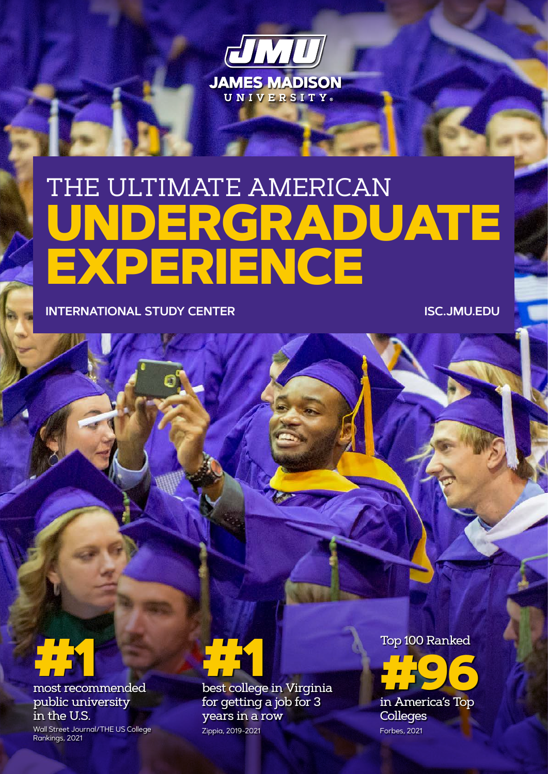

# THE ULTIMATE AMERICAN **UNDERGRADUATE EXPERIENCE**

**INTERNATIONAL STUDY CENTER [ISC.JMU.EDU](https://isc.jmu.edu)**



public university in the U.S.

Wall Street Journal/THE US College Rankings, 2021



for getting a job for 3 years in a row Zippia, 2019-2021

Top 100 Ranked



**Colleges** Forbes, 2021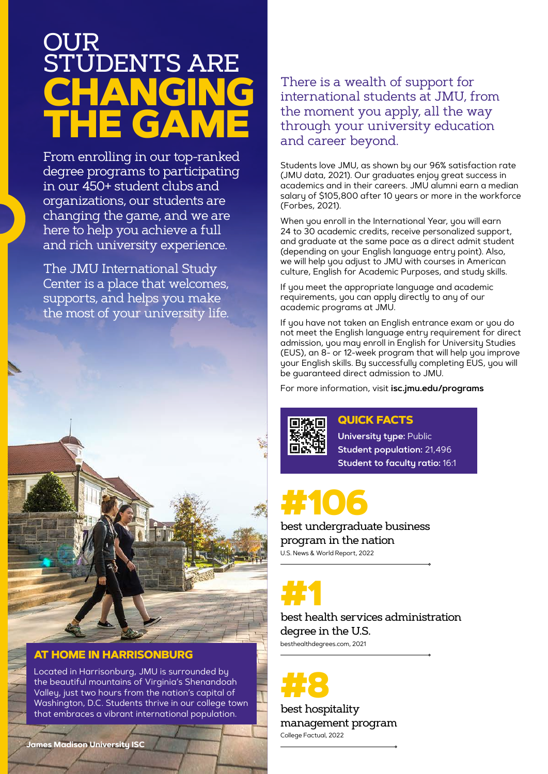# **CHANGING THE GAME** OUR **ENTS ARE**

From enrolling in our top-ranked degree programs to participating in our 450+ student clubs and organizations, our students are changing the game, and we are here to help you achieve a full and rich university experience.

The JMU International Study Center is a place that welcomes, supports, and helps you make the most of your university life.



### **AT HOME IN HARRISONBURG**

Located in Harrisonburg, JMU is surrounded by the beautiful mountains of Virginia's Shenandoah Valley, just two hours from the nation's capital of Washington, D.C. Students thrive in our college town that embraces a vibrant international population.

# There is a wealth of support for international students at JMU, from the moment you apply, all the way through your university education and career beyond.

Students love JMU, as shown by our 96% satisfaction rate (JMU data, 2021). Our graduates enjoy great success in academics and in their careers. JMU alumni earn a median salary of \$105,800 after 10 years or more in the workforce (Forbes, 2021).

When you enroll in the International Year, you will earn 24 to 30 academic credits, receive personalized support, and graduate at the same pace as a direct admit student (depending on your English language entry point). Also, we will help you adjust to JMU with courses in American culture, English for Academic Purposes, and study skills.

If you meet the appropriate language and academic requirements, you can apply directly to any of our academic programs at JMU.

If you have not taken an English entrance exam or you do not meet the English language entry requirement for direct admission, you may enroll in English for University Studies (EUS), an 8- or 12-week program that will help you improve your English skills. By successfully completing EUS, you will be guaranteed direct admission to JMU.

For more information, visit **[isc.jmu.edu/programs](http://isc.jmu.edu/programs)**

# **QUICK FACTS**

**University type:** Public **Student population:** 21,496 **Student to faculty ratio:** 16:1

# **#106**

best undergraduate business program in the nation U.S. News & World Report, 2022

**#1**

best health services administration degree in the U.S. besthealthdegrees.com, 2021

**#8**

best hospitality management program College Factual, 2022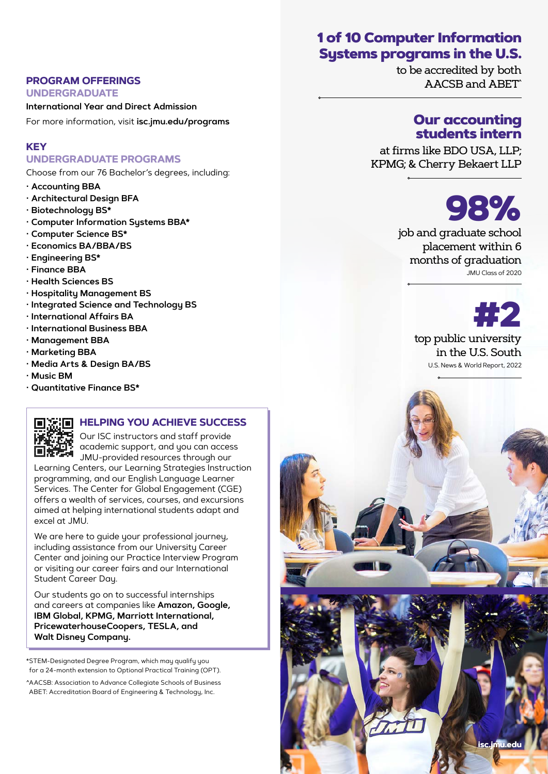# 1 of 10 Computer Information Systems programs in the U.S.

to be accredited by both AACSB and ABET^

# Our accounting students intern

at firms like BDO USA, LLP; KPMG; & Cherry Bekaert LLP

**98%** 

job and graduate school placement within 6 months of graduation JMU Class of 2020

> **#2**  top public university

in the U.S. South U.S. News & World Report, 2022

#### **PROGRAM OFFERINGS**

**UNDERGRADUATE International Year and Direct Admission**

For more information, visit **[isc.jmu.edu/programs](http://isc.jmu.edu/programs)**

### **KEY**

#### **UNDERGRADUATE PROGRAMS**

Choose from our 76 Bachelor's degrees, including:

- **Accounting BBA**
- **Architectural Design BFA**
- **Biotechnology BS\***
- **Computer Information Systems BBA\***
- **Computer Science BS\***
- **Economics BA/BBA/BS**
- **Engineering BS\***
- **Finance BBA**
- **Health Sciences BS**
- **Hospitality Management BS**
- **Integrated Science and Technology BS**
- **International Affairs BA**
- **International Business BBA**
- **Management BBA**
- **Marketing BBA**
- **Media Arts & Design BA/BS**
- **Music BM**
- **Quantitative Finance BS\***



## **HELPING YOU ACHIEVE SUCCESS**

Our ISC instructors and staff provide academic support, and you can access JMU-provided resources through our Learning Centers, our Learning Strategies Instruction

programming, and our English Language Learner Services. The Center for Global Engagement (CGE) offers a wealth of services, courses, and excursions aimed at helping international students adapt and excel at JMU.

We are here to guide your professional journey, including assistance from our University Career Center and joining our Practice Interview Program or visiting our career fairs and our International Student Career Day.

Our students go on to successful internships and careers at companies like **Amazon, Google, IBM Global, KPMG, Marriott International, PricewaterhouseCoopers, TESLA, and Walt Disney Company.**

\*STEM-Designated Degree Program, which may qualify you for a 24-month extension to Optional Practical Training (OPT).

^AACSB: Association to Advance Collegiate Schools of Business ABET: Accreditation Board of Engineering & Technology, Inc.